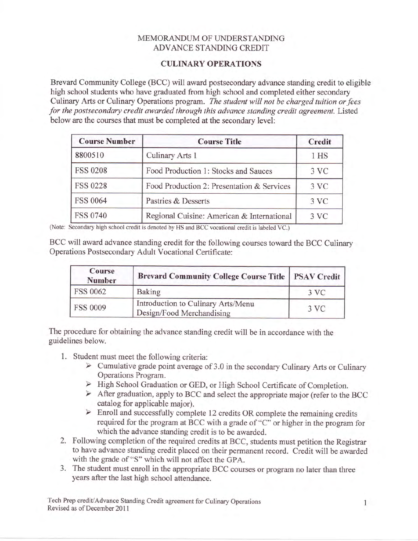## MEMORANDUM OF UNDERSTANDING ADVANCE STANDING CREDIT

## CULINARY OPERATIONS

Brevard Community College (BCC) will award postsecondary advance standing credit to eligible high school students who have graduated from high school and completed either secondary Culinary Arts or Culinary Operations program. The student will not be charged tuition or fees for the postsecondary credit awarded through this advance standing credit agreement. Listed below are the courses that must be completed at the secondary level:

| <b>Course Number</b> | <b>Course Title</b>                        | Credit |
|----------------------|--------------------------------------------|--------|
| 8800510              | Culinary Arts 1                            | 1 HS   |
| <b>FSS 0208</b>      | Food Production 1: Stocks and Sauces       | 3 VC   |
| <b>FSS 0228</b>      | Food Production 2: Presentation & Services | 3 VC   |
| <b>FSS 0064</b>      | Pastries & Desserts                        | 3 VC   |
| <b>FSS 0740</b>      | Regional Cuisine: American & International | 3 VC   |

(Note: Secondary high school credit is denoted by HS and BCC vocational credit is labeled VC.)

BCC will award advance standing credit for the following courses toward the BCC Culinary Operations Postsecondary Adult Vocational Certificate:

| Course<br><b>Number</b> | <b>Brevard Community College Course Title   PSAV Credit</b>     |                  |
|-------------------------|-----------------------------------------------------------------|------------------|
| <b>FSS 0062</b>         | Baking                                                          | $3 \, \text{VC}$ |
| <b>FSS 0009</b>         | Introduction to Culinary Arts/Menu<br>Design/Food Merchandising | 3VC              |

The procedure for obtaining the advance standing credit will be in accordance with the guidelines below.

- 
- 1. Student must meet the following criteria:<br>  $\triangleright$  Cumulative grade point average of 3.0 in the secondary Culinary Arts or Culinary Operations Program.<br>► High School Graduation or GED, or High School Certificate of Completion.
	-
	- > After graduation, apply to BCC and select the appropriate major (refer to the BCC
	- catalog for applicable major).<br>  $\triangleright$  Enroll and successfully complete 12 credits OR complete the remaining credits required for the program at BCC with a grade of "C" or higher in the program for which the advance standing credit is to be awarded.
- 2. Following completion of the required credits at BCC, students must petition the Registrar to have advance standing credit placed on their permanent record. Credit will be awarded with the grade of "S" which will not affect the GPA.
- 3. The student must enroll in the appropriate BCC courses or program no later than three years after the last high school attendance.

Tech Prep credit/Advance Standing Credit agreement for Culinary Operations Revised as of December 2011